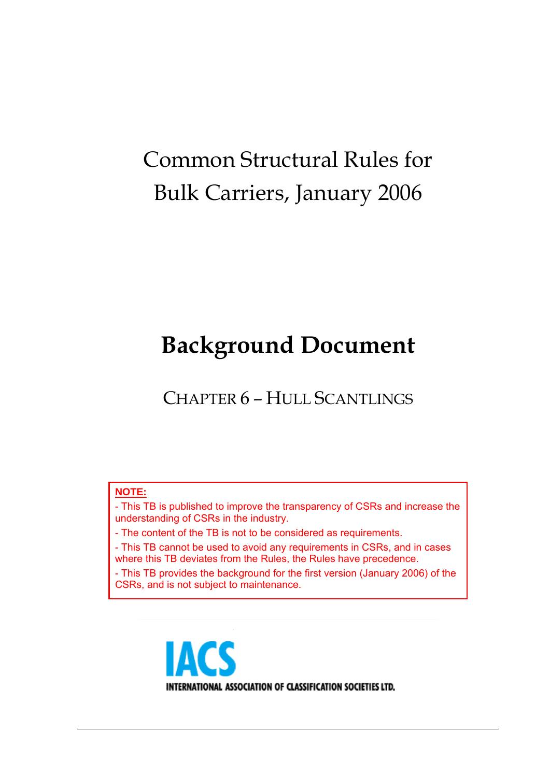# Common Structural Rules for Bulk Carriers, January 2006

# **Background Document**

CHAPTER 6 – HULL SCANTLINGS

#### **NOTE:**

- This TB is published to improve the transparency of CSRs and increase the understanding of CSRs in the industry.

- The content of the TB is not to be considered as requirements.

- This TB cannot be used to avoid any requirements in CSRs, and in cases where this TB deviates from the Rules, the Rules have precedence.

- This TB provides the background for the first version (January 2006) of the CSRs, and is not subject to maintenance.

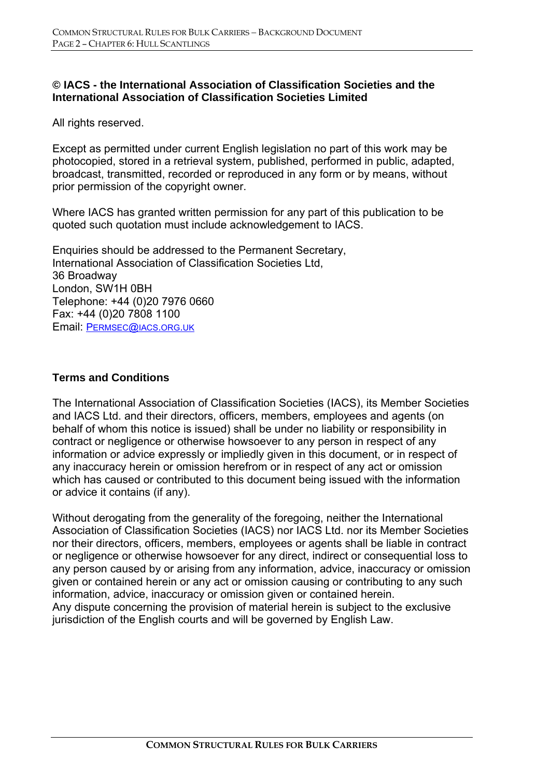#### **© IACS - the International Association of Classification Societies and the International Association of Classification Societies Limited**

All rights reserved.

Except as permitted under current English legislation no part of this work may be photocopied, stored in a retrieval system, published, performed in public, adapted, broadcast, transmitted, recorded or reproduced in any form or by means, without prior permission of the copyright owner.

Where IACS has granted written permission for any part of this publication to be quoted such quotation must include acknowledgement to IACS.

Enquiries should be addressed to the Permanent Secretary, International Association of Classification Societies Ltd, 36 Broadway London, SW1H 0BH Telephone: +44 (0)20 7976 0660 Fax: +44 (0)20 7808 1100 Email: PERMSEC@IACS.ORG.UK

#### **Terms and Conditions**

The International Association of Classification Societies (IACS), its Member Societies and IACS Ltd. and their directors, officers, members, employees and agents (on behalf of whom this notice is issued) shall be under no liability or responsibility in contract or negligence or otherwise howsoever to any person in respect of any information or advice expressly or impliedly given in this document, or in respect of any inaccuracy herein or omission herefrom or in respect of any act or omission which has caused or contributed to this document being issued with the information or advice it contains (if any).

Without derogating from the generality of the foregoing, neither the International Association of Classification Societies (IACS) nor IACS Ltd. nor its Member Societies nor their directors, officers, members, employees or agents shall be liable in contract or negligence or otherwise howsoever for any direct, indirect or consequential loss to any person caused by or arising from any information, advice, inaccuracy or omission given or contained herein or any act or omission causing or contributing to any such information, advice, inaccuracy or omission given or contained herein. Any dispute concerning the provision of material herein is subject to the exclusive jurisdiction of the English courts and will be governed by English Law.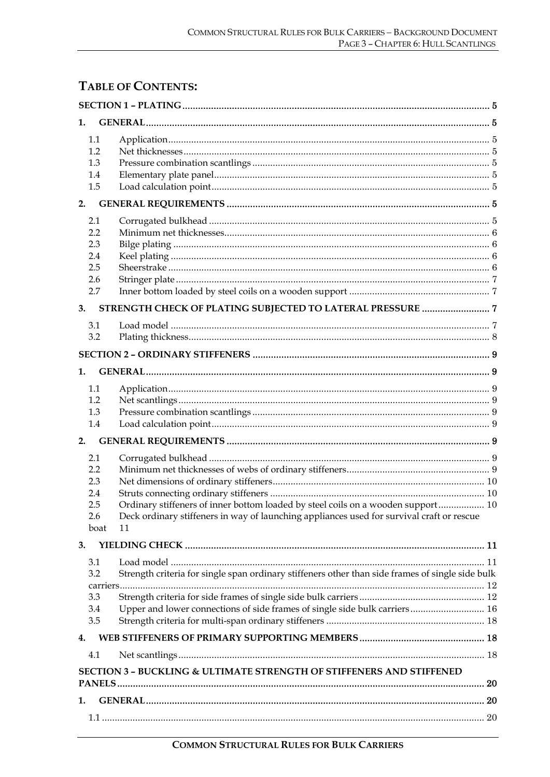# **TABLE OF CONTENTS:**

| 1.  |                 |                                                                                                  |  |
|-----|-----------------|--------------------------------------------------------------------------------------------------|--|
|     | 1.1             |                                                                                                  |  |
|     | 1.2             |                                                                                                  |  |
|     | 1.3             |                                                                                                  |  |
|     | 1.4             |                                                                                                  |  |
|     | 1.5             |                                                                                                  |  |
| 2.  |                 |                                                                                                  |  |
|     | 2.1             |                                                                                                  |  |
|     | 2.2             |                                                                                                  |  |
|     | 2.3             |                                                                                                  |  |
|     | 2.4             |                                                                                                  |  |
|     | 2.5             |                                                                                                  |  |
|     | 2.6<br>2.7      |                                                                                                  |  |
|     |                 |                                                                                                  |  |
| 3.  |                 |                                                                                                  |  |
|     | 3.1             |                                                                                                  |  |
|     | 3.2             |                                                                                                  |  |
|     |                 |                                                                                                  |  |
| 1.  |                 |                                                                                                  |  |
|     | 1.1             |                                                                                                  |  |
|     | 1.2             |                                                                                                  |  |
|     | 1.3             |                                                                                                  |  |
|     | 1.4             |                                                                                                  |  |
| 2.  |                 |                                                                                                  |  |
|     | 2.1             |                                                                                                  |  |
|     | 2.2             |                                                                                                  |  |
| 2.3 |                 |                                                                                                  |  |
|     | 2.4             |                                                                                                  |  |
| 2.5 |                 | Ordinary stiffeners of inner bottom loaded by steel coils on a wooden support 10                 |  |
|     | 2.6<br>boat     | Deck ordinary stiffeners in way of launching appliances used for survival craft or rescue<br>11  |  |
| 3.  |                 |                                                                                                  |  |
|     |                 |                                                                                                  |  |
|     | 3.1             |                                                                                                  |  |
|     | 3.2<br>carriers | Strength criteria for single span ordinary stiffeners other than side frames of single side bulk |  |
|     | 3.3             |                                                                                                  |  |
|     | 3.4             | Upper and lower connections of side frames of single side bulk carriers 16                       |  |
|     | 3.5             |                                                                                                  |  |
| 4.  |                 |                                                                                                  |  |
|     | 4.1             |                                                                                                  |  |
|     |                 | <b>SECTION 3 - BUCKLING &amp; ULTIMATE STRENGTH OF STIFFENERS AND STIFFENED</b>                  |  |
|     |                 |                                                                                                  |  |
| 1.  |                 |                                                                                                  |  |
|     |                 |                                                                                                  |  |
|     |                 |                                                                                                  |  |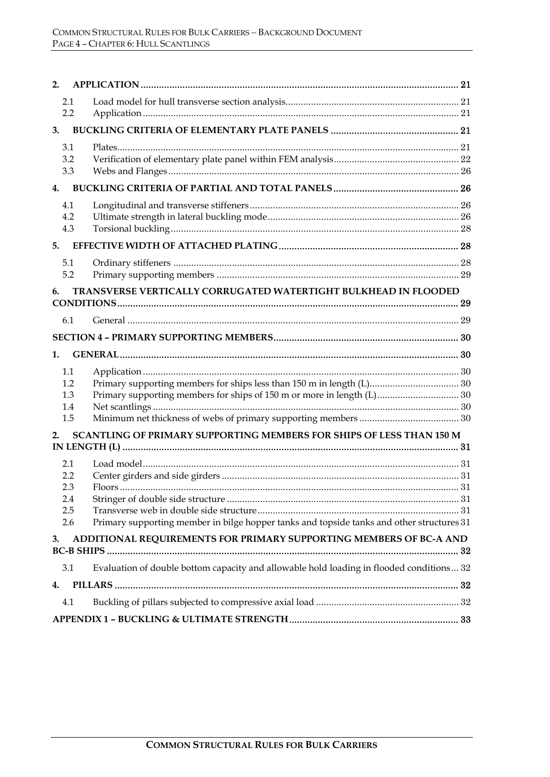| 2.                                                                    |                                                                                                 |  |  |  |  |  |
|-----------------------------------------------------------------------|-------------------------------------------------------------------------------------------------|--|--|--|--|--|
| 2.1<br>2.2                                                            |                                                                                                 |  |  |  |  |  |
| 3.                                                                    |                                                                                                 |  |  |  |  |  |
| 3.1<br>3.2<br>3.3                                                     |                                                                                                 |  |  |  |  |  |
| 4.                                                                    |                                                                                                 |  |  |  |  |  |
| 4.1<br>4.2<br>4.3                                                     |                                                                                                 |  |  |  |  |  |
| 5.                                                                    |                                                                                                 |  |  |  |  |  |
| 5.1<br>5.2                                                            |                                                                                                 |  |  |  |  |  |
| TRANSVERSE VERTICALLY CORRUGATED WATERTIGHT BULKHEAD IN FLOODED<br>6. |                                                                                                 |  |  |  |  |  |
| 6.1                                                                   |                                                                                                 |  |  |  |  |  |
|                                                                       |                                                                                                 |  |  |  |  |  |
| 1.                                                                    |                                                                                                 |  |  |  |  |  |
| 1.1<br>1.2<br>1.3<br>1.4<br>1.5                                       | Primary supporting members for ships of 150 m or more in length (L) 30                          |  |  |  |  |  |
| 2.                                                                    | SCANTLING OF PRIMARY SUPPORTING MEMBERS FOR SHIPS OF LESS THAN 150 M                            |  |  |  |  |  |
|                                                                       |                                                                                                 |  |  |  |  |  |
| 2.1<br>2.2<br>2.3<br>2.4<br>2.5<br>2.6                                | 31<br>Primary supporting member in bilge hopper tanks and topside tanks and other structures 31 |  |  |  |  |  |
| 3.                                                                    | ADDITIONAL REQUIREMENTS FOR PRIMARY SUPPORTING MEMBERS OF BC-A AND                              |  |  |  |  |  |
| 3.1                                                                   | Evaluation of double bottom capacity and allowable hold loading in flooded conditions 32        |  |  |  |  |  |
| 4.                                                                    |                                                                                                 |  |  |  |  |  |
| 4.1                                                                   |                                                                                                 |  |  |  |  |  |
|                                                                       |                                                                                                 |  |  |  |  |  |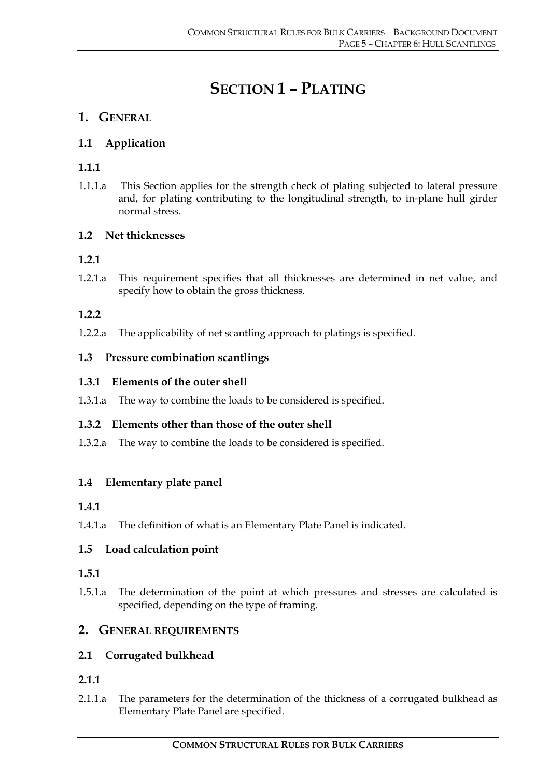# **SECTION 1 – PLATING**

# **1. GENERAL**

# **1.1 Application**

# **1.1.1**

1.1.1.a This Section applies for the strength check of plating subjected to lateral pressure and, for plating contributing to the longitudinal strength, to in-plane hull girder normal stress.

# **1.2 Net thicknesses**

# **1.2.1**

1.2.1.a This requirement specifies that all thicknesses are determined in net value, and specify how to obtain the gross thickness.

# **1.2.2**

1.2.2.a The applicability of net scantling approach to platings is specified.

# **1.3 Pressure combination scantlings**

# **1.3.1 Elements of the outer shell**

1.3.1.a The way to combine the loads to be considered is specified.

# **1.3.2 Elements other than those of the outer shell**

1.3.2.a The way to combine the loads to be considered is specified.

# **1.4 Elementary plate panel**

#### **1.4.1**

1.4.1.a The definition of what is an Elementary Plate Panel is indicated.

# **1.5 Load calculation point**

#### **1.5.1**

1.5.1.a The determination of the point at which pressures and stresses are calculated is specified, depending on the type of framing.

# **2. GENERAL REQUIREMENTS**

# **2.1 Corrugated bulkhead**

# **2.1.1**

2.1.1.a The parameters for the determination of the thickness of a corrugated bulkhead as Elementary Plate Panel are specified.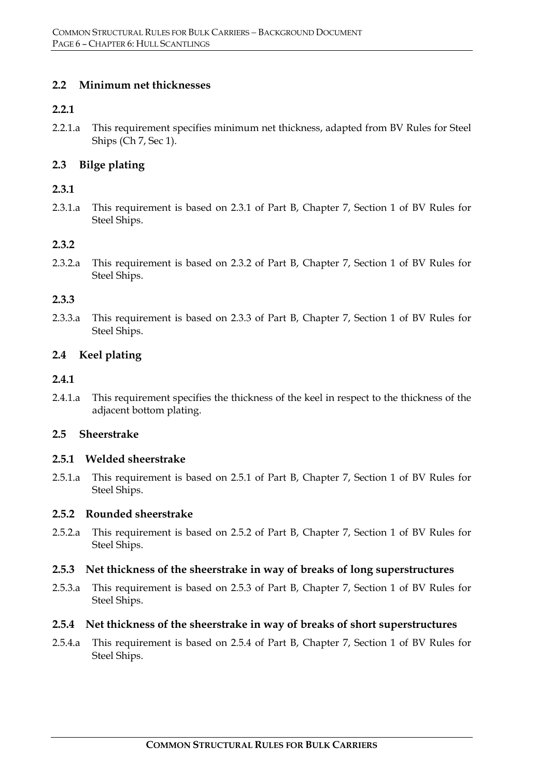#### **2.2 Minimum net thicknesses**

#### **2.2.1**

2.2.1.a This requirement specifies minimum net thickness, adapted from BV Rules for Steel Ships (Ch 7, Sec 1).

### **2.3 Bilge plating**

#### **2.3.1**

2.3.1.a This requirement is based on 2.3.1 of Part B, Chapter 7, Section 1 of BV Rules for Steel Ships.

#### **2.3.2**

2.3.2.a This requirement is based on 2.3.2 of Part B, Chapter 7, Section 1 of BV Rules for Steel Ships.

#### **2.3.3**

2.3.3.a This requirement is based on 2.3.3 of Part B, Chapter 7, Section 1 of BV Rules for Steel Ships.

#### **2.4 Keel plating**

#### **2.4.1**

2.4.1.a This requirement specifies the thickness of the keel in respect to the thickness of the adjacent bottom plating.

#### **2.5 Sheerstrake**

#### **2.5.1 Welded sheerstrake**

2.5.1.a This requirement is based on 2.5.1 of Part B, Chapter 7, Section 1 of BV Rules for Steel Ships.

#### **2.5.2 Rounded sheerstrake**

2.5.2.a This requirement is based on 2.5.2 of Part B, Chapter 7, Section 1 of BV Rules for Steel Ships.

#### **2.5.3 Net thickness of the sheerstrake in way of breaks of long superstructures**

2.5.3.a This requirement is based on 2.5.3 of Part B, Chapter 7, Section 1 of BV Rules for Steel Ships.

#### **2.5.4 Net thickness of the sheerstrake in way of breaks of short superstructures**

2.5.4.a This requirement is based on 2.5.4 of Part B, Chapter 7, Section 1 of BV Rules for Steel Ships.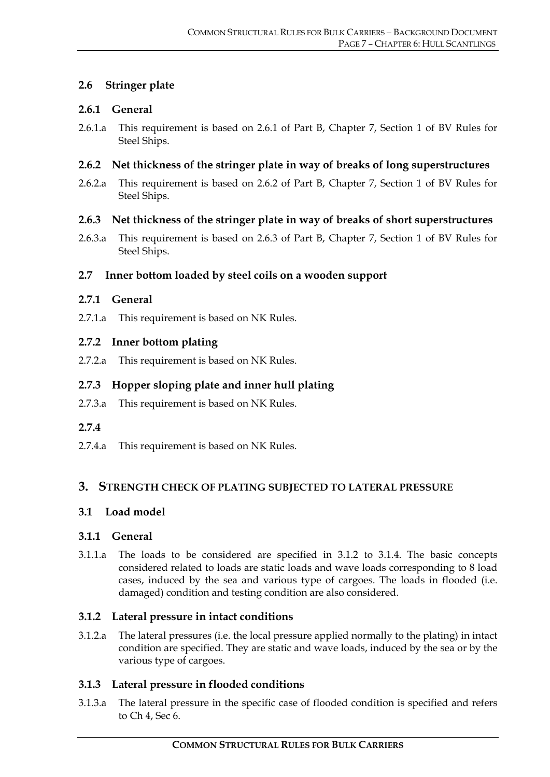#### **2.6 Stringer plate**

#### **2.6.1 General**

2.6.1.a This requirement is based on 2.6.1 of Part B, Chapter 7, Section 1 of BV Rules for Steel Ships.

#### **2.6.2 Net thickness of the stringer plate in way of breaks of long superstructures**

2.6.2.a This requirement is based on 2.6.2 of Part B, Chapter 7, Section 1 of BV Rules for Steel Ships.

#### **2.6.3 Net thickness of the stringer plate in way of breaks of short superstructures**

2.6.3.a This requirement is based on 2.6.3 of Part B, Chapter 7, Section 1 of BV Rules for Steel Ships.

#### **2.7 Inner bottom loaded by steel coils on a wooden support**

#### **2.7.1 General**

2.7.1.a This requirement is based on NK Rules.

#### **2.7.2 Inner bottom plating**

2.7.2.a This requirement is based on NK Rules.

#### **2.7.3 Hopper sloping plate and inner hull plating**

2.7.3.a This requirement is based on NK Rules.

#### **2.7.4**

2.7.4.a This requirement is based on NK Rules.

#### **3. STRENGTH CHECK OF PLATING SUBJECTED TO LATERAL PRESSURE**

#### **3.1 Load model**

#### **3.1.1 General**

3.1.1.a The loads to be considered are specified in 3.1.2 to 3.1.4. The basic concepts considered related to loads are static loads and wave loads corresponding to 8 load cases, induced by the sea and various type of cargoes. The loads in flooded (i.e. damaged) condition and testing condition are also considered.

#### **3.1.2 Lateral pressure in intact conditions**

3.1.2.a The lateral pressures (i.e. the local pressure applied normally to the plating) in intact condition are specified. They are static and wave loads, induced by the sea or by the various type of cargoes.

#### **3.1.3 Lateral pressure in flooded conditions**

3.1.3.a The lateral pressure in the specific case of flooded condition is specified and refers to Ch 4, Sec 6.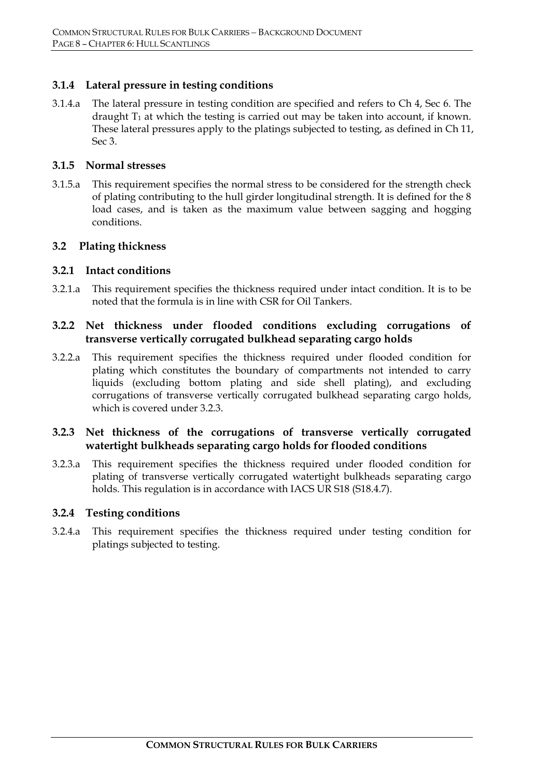#### **3.1.4 Lateral pressure in testing conditions**

3.1.4.a The lateral pressure in testing condition are specified and refers to Ch 4, Sec 6. The draught  $T_1$  at which the testing is carried out may be taken into account, if known. These lateral pressures apply to the platings subjected to testing, as defined in Ch 11, Sec 3.

#### **3.1.5 Normal stresses**

3.1.5.a This requirement specifies the normal stress to be considered for the strength check of plating contributing to the hull girder longitudinal strength. It is defined for the 8 load cases, and is taken as the maximum value between sagging and hogging conditions.

#### **3.2 Plating thickness**

#### **3.2.1 Intact conditions**

3.2.1.a This requirement specifies the thickness required under intact condition. It is to be noted that the formula is in line with CSR for Oil Tankers.

#### **3.2.2 Net thickness under flooded conditions excluding corrugations of transverse vertically corrugated bulkhead separating cargo holds**

3.2.2.a This requirement specifies the thickness required under flooded condition for plating which constitutes the boundary of compartments not intended to carry liquids (excluding bottom plating and side shell plating), and excluding corrugations of transverse vertically corrugated bulkhead separating cargo holds, which is covered under 3.2.3.

#### **3.2.3 Net thickness of the corrugations of transverse vertically corrugated watertight bulkheads separating cargo holds for flooded conditions**

3.2.3.a This requirement specifies the thickness required under flooded condition for plating of transverse vertically corrugated watertight bulkheads separating cargo holds. This regulation is in accordance with IACS UR S18 (S18.4.7).

#### **3.2.4 Testing conditions**

3.2.4.a This requirement specifies the thickness required under testing condition for platings subjected to testing.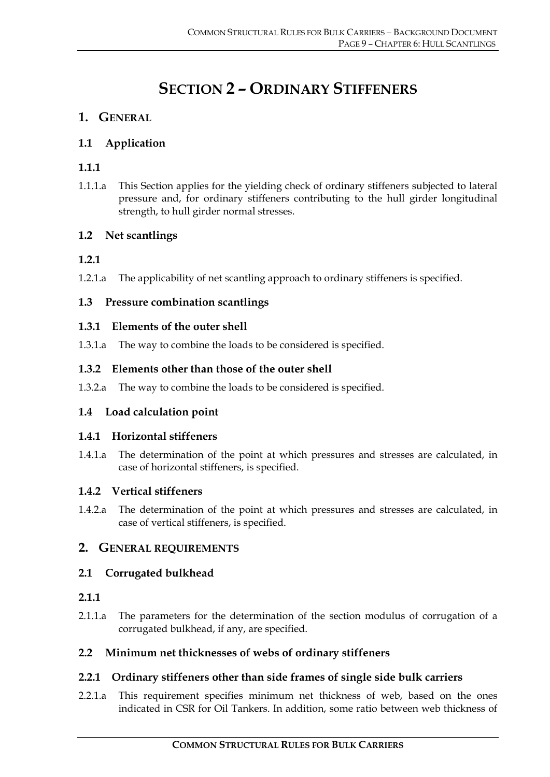# **SECTION 2 – ORDINARY STIFFENERS**

# **1. GENERAL**

# **1.1 Application**

# **1.1.1**

1.1.1.a This Section applies for the yielding check of ordinary stiffeners subjected to lateral pressure and, for ordinary stiffeners contributing to the hull girder longitudinal strength, to hull girder normal stresses.

# **1.2 Net scantlings**

# **1.2.1**

1.2.1.a The applicability of net scantling approach to ordinary stiffeners is specified.

# **1.3 Pressure combination scantlings**

#### **1.3.1 Elements of the outer shell**

1.3.1.a The way to combine the loads to be considered is specified.

# **1.3.2 Elements other than those of the outer shell**

1.3.2.a The way to combine the loads to be considered is specified.

# **1.4 Load calculation point**

#### **1.4.1 Horizontal stiffeners**

1.4.1.a The determination of the point at which pressures and stresses are calculated, in case of horizontal stiffeners, is specified.

# **1.4.2 Vertical stiffeners**

1.4.2.a The determination of the point at which pressures and stresses are calculated, in case of vertical stiffeners, is specified.

# **2. GENERAL REQUIREMENTS**

#### **2.1 Corrugated bulkhead**

#### **2.1.1**

2.1.1.a The parameters for the determination of the section modulus of corrugation of a corrugated bulkhead, if any, are specified.

#### **2.2 Minimum net thicknesses of webs of ordinary stiffeners**

#### **2.2.1 Ordinary stiffeners other than side frames of single side bulk carriers**

2.2.1.a This requirement specifies minimum net thickness of web, based on the ones indicated in CSR for Oil Tankers. In addition, some ratio between web thickness of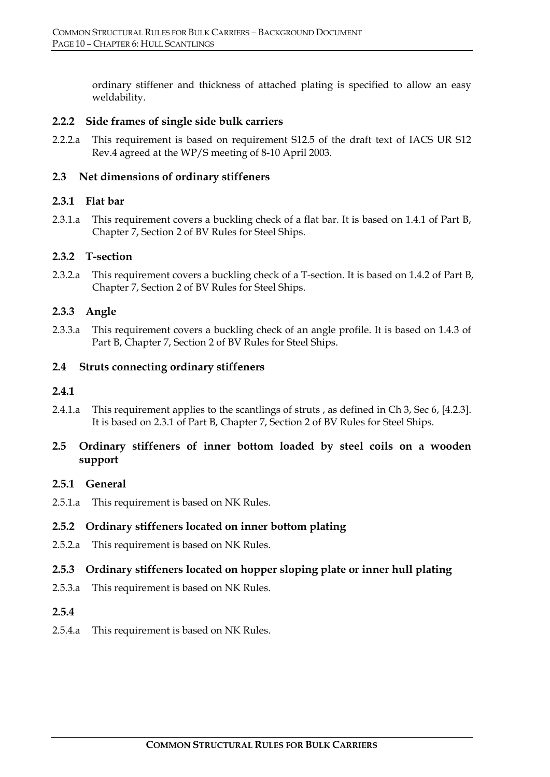ordinary stiffener and thickness of attached plating is specified to allow an easy weldability.

#### **2.2.2 Side frames of single side bulk carriers**

2.2.2.a This requirement is based on requirement S12.5 of the draft text of IACS UR S12 Rev.4 agreed at the WP/S meeting of 8-10 April 2003.

#### **2.3 Net dimensions of ordinary stiffeners**

#### **2.3.1 Flat bar**

2.3.1.a This requirement covers a buckling check of a flat bar. It is based on 1.4.1 of Part B, Chapter 7, Section 2 of BV Rules for Steel Ships.

#### **2.3.2 T-section**

2.3.2.a This requirement covers a buckling check of a T-section. It is based on 1.4.2 of Part B, Chapter 7, Section 2 of BV Rules for Steel Ships.

#### **2.3.3 Angle**

2.3.3.a This requirement covers a buckling check of an angle profile. It is based on 1.4.3 of Part B, Chapter 7, Section 2 of BV Rules for Steel Ships.

#### **2.4 Struts connecting ordinary stiffeners**

#### **2.4.1**

2.4.1.a This requirement applies to the scantlings of struts , as defined in Ch 3, Sec 6, [4.2.3]. It is based on 2.3.1 of Part B, Chapter 7, Section 2 of BV Rules for Steel Ships.

#### **2.5 Ordinary stiffeners of inner bottom loaded by steel coils on a wooden support**

#### **2.5.1 General**

2.5.1.a This requirement is based on NK Rules.

#### **2.5.2 Ordinary stiffeners located on inner bottom plating**

2.5.2.a This requirement is based on NK Rules.

#### **2.5.3 Ordinary stiffeners located on hopper sloping plate or inner hull plating**

2.5.3.a This requirement is based on NK Rules.

#### **2.5.4**

2.5.4.a This requirement is based on NK Rules.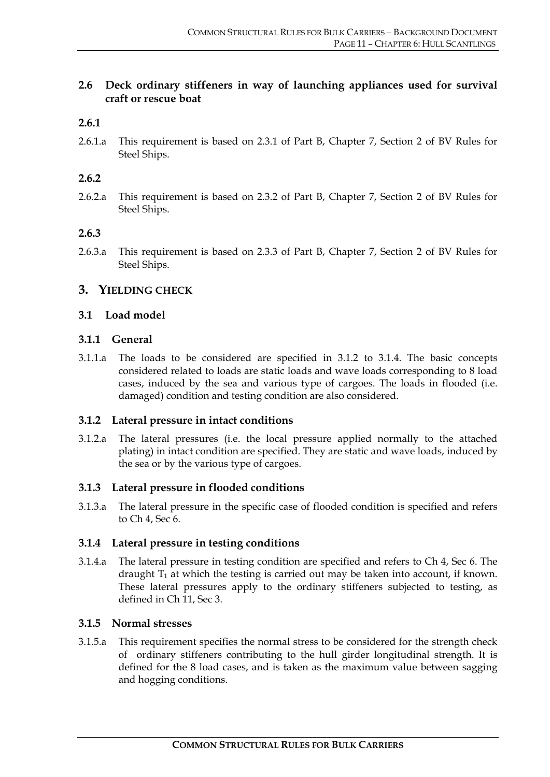#### **2.6 Deck ordinary stiffeners in way of launching appliances used for survival craft or rescue boat**

#### **2.6.1**

2.6.1.a This requirement is based on 2.3.1 of Part B, Chapter 7, Section 2 of BV Rules for Steel Ships.

#### **2.6.2**

2.6.2.a This requirement is based on 2.3.2 of Part B, Chapter 7, Section 2 of BV Rules for Steel Ships.

#### **2.6.3**

2.6.3.a This requirement is based on 2.3.3 of Part B, Chapter 7, Section 2 of BV Rules for Steel Ships.

#### **3. YIELDING CHECK**

#### **3.1 Load model**

#### **3.1.1 General**

3.1.1.a The loads to be considered are specified in 3.1.2 to 3.1.4. The basic concepts considered related to loads are static loads and wave loads corresponding to 8 load cases, induced by the sea and various type of cargoes. The loads in flooded (i.e. damaged) condition and testing condition are also considered.

#### **3.1.2 Lateral pressure in intact conditions**

3.1.2.a The lateral pressures (i.e. the local pressure applied normally to the attached plating) in intact condition are specified. They are static and wave loads, induced by the sea or by the various type of cargoes.

#### **3.1.3 Lateral pressure in flooded conditions**

3.1.3.a The lateral pressure in the specific case of flooded condition is specified and refers to Ch 4, Sec 6.

#### **3.1.4 Lateral pressure in testing conditions**

3.1.4.a The lateral pressure in testing condition are specified and refers to Ch 4, Sec 6. The draught  $T_1$  at which the testing is carried out may be taken into account, if known. These lateral pressures apply to the ordinary stiffeners subjected to testing, as defined in Ch 11, Sec 3.

#### **3.1.5 Normal stresses**

3.1.5.a This requirement specifies the normal stress to be considered for the strength check of ordinary stiffeners contributing to the hull girder longitudinal strength. It is defined for the 8 load cases, and is taken as the maximum value between sagging and hogging conditions.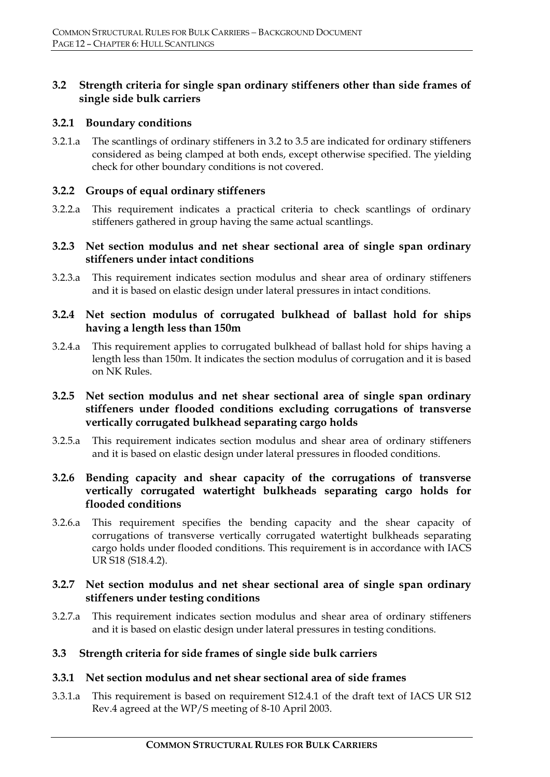#### **3.2 Strength criteria for single span ordinary stiffeners other than side frames of single side bulk carriers**

#### **3.2.1 Boundary conditions**

3.2.1.a The scantlings of ordinary stiffeners in 3.2 to 3.5 are indicated for ordinary stiffeners considered as being clamped at both ends, except otherwise specified. The yielding check for other boundary conditions is not covered.

#### **3.2.2 Groups of equal ordinary stiffeners**

3.2.2.a This requirement indicates a practical criteria to check scantlings of ordinary stiffeners gathered in group having the same actual scantlings.

#### **3.2.3 Net section modulus and net shear sectional area of single span ordinary stiffeners under intact conditions**

3.2.3.a This requirement indicates section modulus and shear area of ordinary stiffeners and it is based on elastic design under lateral pressures in intact conditions.

#### **3.2.4 Net section modulus of corrugated bulkhead of ballast hold for ships having a length less than 150m**

3.2.4.a This requirement applies to corrugated bulkhead of ballast hold for ships having a length less than 150m. It indicates the section modulus of corrugation and it is based on NK Rules.

#### **3.2.5 Net section modulus and net shear sectional area of single span ordinary stiffeners under flooded conditions excluding corrugations of transverse vertically corrugated bulkhead separating cargo holds**

3.2.5.a This requirement indicates section modulus and shear area of ordinary stiffeners and it is based on elastic design under lateral pressures in flooded conditions.

#### **3.2.6 Bending capacity and shear capacity of the corrugations of transverse vertically corrugated watertight bulkheads separating cargo holds for flooded conditions**

3.2.6.a This requirement specifies the bending capacity and the shear capacity of corrugations of transverse vertically corrugated watertight bulkheads separating cargo holds under flooded conditions. This requirement is in accordance with IACS UR S18 (S18.4.2).

#### **3.2.7 Net section modulus and net shear sectional area of single span ordinary stiffeners under testing conditions**

3.2.7.a This requirement indicates section modulus and shear area of ordinary stiffeners and it is based on elastic design under lateral pressures in testing conditions.

#### **3.3 Strength criteria for side frames of single side bulk carriers**

#### **3.3.1 Net section modulus and net shear sectional area of side frames**

3.3.1.a This requirement is based on requirement S12.4.1 of the draft text of IACS UR S12 Rev.4 agreed at the WP/S meeting of 8-10 April 2003.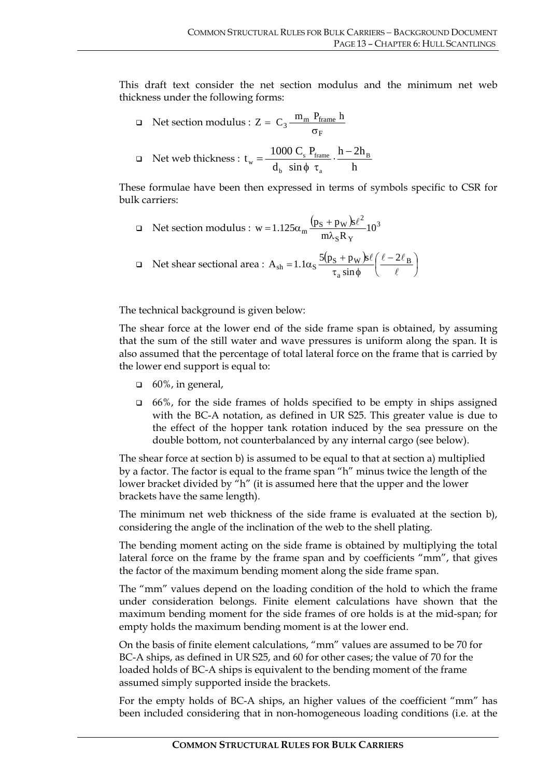This draft text consider the net section modulus and the minimum net web thickness under the following forms:

 Net section modulus : F  $Z = C_3 \frac{m_m P_{frame} h}{\sigma_F}$ 

$$
\Box \quad \text{Net web thickness: } t_{\rm w} = \frac{1000 \text{ C}_{\rm s} P_{\text{frame}}}{d_{\rm b} \sin \phi \tau_{\rm a}} \cdot \frac{h - 2h_{\rm B}}{h}
$$

These formulae have been then expressed in terms of symbols specific to CSR for bulk carriers:

$$
\Box \quad \text{Net section modulus : } \mathbf{w} = 1.125\alpha_m \frac{\left(\mathbf{p}_S + \mathbf{p}_W\right)\mathbf{\hat{s}}\ell^2}{m\lambda_S R_Y} 10^3
$$

$$
\Box \quad \text{Net shear sectional area : } A_{sh} = 1.1\alpha_S \frac{5(p_S + p_W)s\ell}{\tau_a \sin \phi} \left(\frac{\ell - 2\ell_B}{\ell}\right)
$$

The technical background is given below:

The shear force at the lower end of the side frame span is obtained, by assuming that the sum of the still water and wave pressures is uniform along the span. It is also assumed that the percentage of total lateral force on the frame that is carried by the lower end support is equal to:

- $\Box$  60%, in general,
- $\Box$  66%, for the side frames of holds specified to be empty in ships assigned with the BC-A notation, as defined in UR S25. This greater value is due to the effect of the hopper tank rotation induced by the sea pressure on the double bottom, not counterbalanced by any internal cargo (see below).

The shear force at section b) is assumed to be equal to that at section a) multiplied by a factor. The factor is equal to the frame span "h" minus twice the length of the lower bracket divided by "h" (it is assumed here that the upper and the lower brackets have the same length).

The minimum net web thickness of the side frame is evaluated at the section b), considering the angle of the inclination of the web to the shell plating.

The bending moment acting on the side frame is obtained by multiplying the total lateral force on the frame by the frame span and by coefficients "mm", that gives the factor of the maximum bending moment along the side frame span.

The "mm" values depend on the loading condition of the hold to which the frame under consideration belongs. Finite element calculations have shown that the maximum bending moment for the side frames of ore holds is at the mid-span; for empty holds the maximum bending moment is at the lower end.

On the basis of finite element calculations, "mm" values are assumed to be 70 for BC-A ships, as defined in UR S25, and 60 for other cases; the value of 70 for the loaded holds of BC-A ships is equivalent to the bending moment of the frame assumed simply supported inside the brackets.

For the empty holds of BC-A ships, an higher values of the coefficient "mm" has been included considering that in non-homogeneous loading conditions (i.e. at the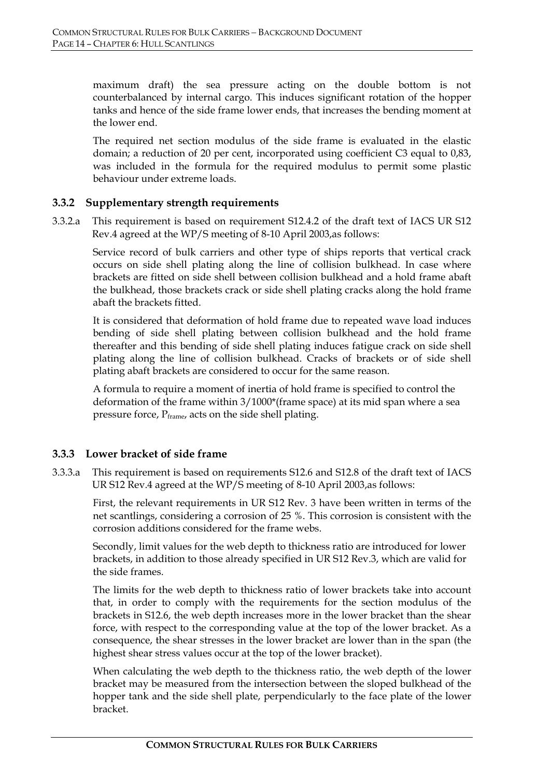maximum draft) the sea pressure acting on the double bottom is not counterbalanced by internal cargo. This induces significant rotation of the hopper tanks and hence of the side frame lower ends, that increases the bending moment at the lower end.

The required net section modulus of the side frame is evaluated in the elastic domain; a reduction of 20 per cent, incorporated using coefficient C3 equal to 0,83, was included in the formula for the required modulus to permit some plastic behaviour under extreme loads.

#### **3.3.2 Supplementary strength requirements**

3.3.2.a This requirement is based on requirement S12.4.2 of the draft text of IACS UR S12 Rev.4 agreed at the WP/S meeting of 8-10 April 2003,as follows:

Service record of bulk carriers and other type of ships reports that vertical crack occurs on side shell plating along the line of collision bulkhead. In case where brackets are fitted on side shell between collision bulkhead and a hold frame abaft the bulkhead, those brackets crack or side shell plating cracks along the hold frame abaft the brackets fitted.

It is considered that deformation of hold frame due to repeated wave load induces bending of side shell plating between collision bulkhead and the hold frame thereafter and this bending of side shell plating induces fatigue crack on side shell plating along the line of collision bulkhead. Cracks of brackets or of side shell plating abaft brackets are considered to occur for the same reason.

A formula to require a moment of inertia of hold frame is specified to control the deformation of the frame within 3/1000\*(frame space) at its mid span where a sea pressure force, P<sub>frame</sub>, acts on the side shell plating.

#### **3.3.3 Lower bracket of side frame**

3.3.3.a This requirement is based on requirements S12.6 and S12.8 of the draft text of IACS UR S12 Rev.4 agreed at the WP/S meeting of 8-10 April 2003,as follows:

First, the relevant requirements in UR S12 Rev. 3 have been written in terms of the net scantlings, considering a corrosion of 25 %. This corrosion is consistent with the corrosion additions considered for the frame webs.

Secondly, limit values for the web depth to thickness ratio are introduced for lower brackets, in addition to those already specified in UR S12 Rev.3, which are valid for the side frames.

The limits for the web depth to thickness ratio of lower brackets take into account that, in order to comply with the requirements for the section modulus of the brackets in S12.6, the web depth increases more in the lower bracket than the shear force, with respect to the corresponding value at the top of the lower bracket. As a consequence, the shear stresses in the lower bracket are lower than in the span (the highest shear stress values occur at the top of the lower bracket).

When calculating the web depth to the thickness ratio, the web depth of the lower bracket may be measured from the intersection between the sloped bulkhead of the hopper tank and the side shell plate, perpendicularly to the face plate of the lower bracket.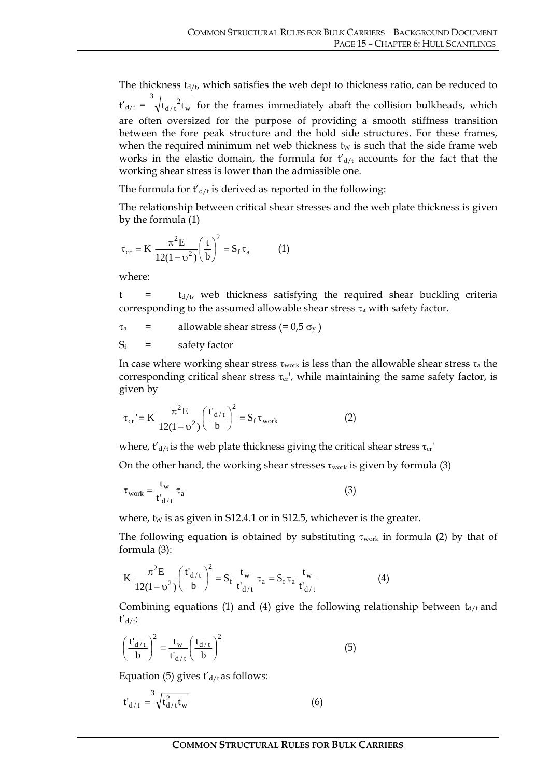The thickness  $t_{d/t}$ , which satisfies the web dept to thickness ratio, can be reduced to  $t'_{d/t} = \sqrt[t]{t_{d/t}^2 t_w}$ d / t 3  $t_{d/t}^2 t_w$  for the frames immediately abaft the collision bulkheads, which are often oversized for the purpose of providing a smooth stiffness transition between the fore peak structure and the hold side structures. For these frames, when the required minimum net web thickness  $t_W$  is such that the side frame web works in the elastic domain, the formula for  $t'_{d/t}$  accounts for the fact that the working shear stress is lower than the admissible one.

The formula for  $t'_{d/t}$  is derived as reported in the following:

The relationship between critical shear stresses and the web plate thickness is given by the formula (1)

$$
\tau_{cr} = K \frac{\pi^2 E}{12(1 - \upsilon^2)} \left(\frac{t}{b}\right)^2 = S_f \tau_a \tag{1}
$$

where:

 $t = t_{d/t}$ , web thickness satisfying the required shear buckling criteria corresponding to the assumed allowable shear stress  $\tau_a$  with safety factor.

 $\tau_a$  = allowable shear stress (= 0,5  $\sigma_v$ )  $S_f$  = safety factor

In case where working shear stress  $\tau_{work}$  is less than the allowable shear stress  $\tau_a$  the corresponding critical shear stress  $\tau_{cr}$ , while maintaining the same safety factor, is given by

$$
\tau_{cr} = K \frac{\pi^2 E}{12(1 - \upsilon^2)} \left(\frac{t'_{d/t}}{b}\right)^2 = S_f \tau_{work}
$$
 (2)

where,  $t'_{d/t}$  is the web plate thickness giving the critical shear stress  $\tau_{cr}$ 

On the other hand, the working shear stresses  $\tau_{work}$  is given by formula (3)

$$
\tau_{\text{work}} = \frac{t_{\text{w}}}{t_{\text{d}/t}} \tau_{\text{a}}
$$
 (3)

where,  $tw$  is as given in S12.4.1 or in S12.5, whichever is the greater.

The following equation is obtained by substituting  $\tau_{work}$  in formula (2) by that of formula (3):

$$
K \frac{\pi^2 E}{12(1 - \nu^2)} \left(\frac{t'_{d/t}}{b}\right)^2 = S_f \frac{t_w}{t'_{d/t}} \tau_a = S_f \tau_a \frac{t_w}{t'_{d/t}}
$$
(4)

Combining equations (1) and (4) give the following relationship between  $t_{d/t}$  and  $t'$ <sub>d/t</sub>:

$$
\left(\frac{t'_{d/t}}{b}\right)^2 = \frac{t_w}{t'_{d/t}} \left(\frac{t_{d/t}}{b}\right)^2 \tag{5}
$$

Equation (5) gives  $t'_{d/t}$  as follows:

$$
t'_{d/t} = \sqrt[3]{t_{d/t}^2 t_w}
$$
 (6)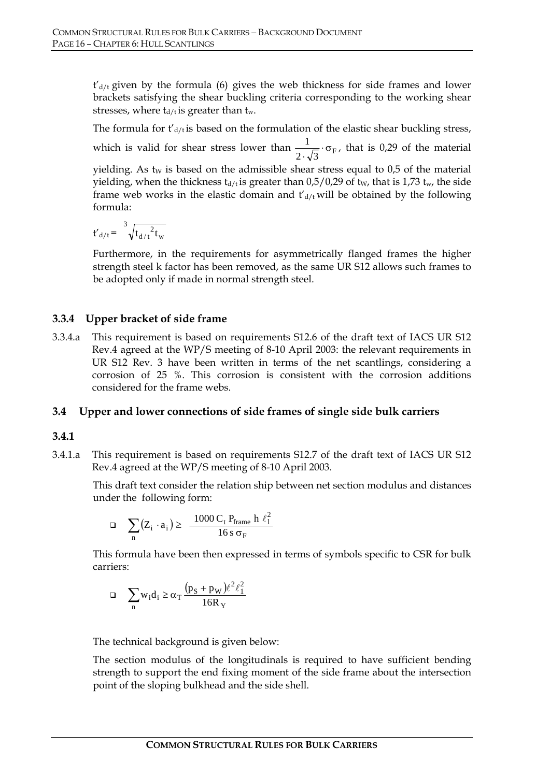$t'_{d/t}$  given by the formula (6) gives the web thickness for side frames and lower brackets satisfying the shear buckling criteria corresponding to the working shear stresses, where  $t_{d/t}$  is greater than  $t_w$ .

The formula for  $t'_{d/t}$  is based on the formulation of the elastic shear buckling stress, which is valid for shear stress lower than  $\frac{1}{2 \cdot \sqrt{3}} \cdot \sigma_F$ , that is 0,29 of the material yielding. As t<sub>W</sub> is based on the admissible shear stress equal to  $0.5$  of the material yielding, when the thickness  $t_{d/t}$  is greater than 0,5/0,29 of  $t_W$ , that is 1,73  $t_w$ , the side frame web works in the elastic domain and  $t'_{d/t}$  will be obtained by the following formula:

$$
t{'}_{d/t} = \sqrt[3]{t_{d/t}^2 t_w}
$$

Furthermore, in the requirements for asymmetrically flanged frames the higher strength steel k factor has been removed, as the same UR S12 allows such frames to be adopted only if made in normal strength steel.

#### **3.3.4 Upper bracket of side frame**

3.3.4.a This requirement is based on requirements S12.6 of the draft text of IACS UR S12 Rev.4 agreed at the WP/S meeting of 8-10 April 2003: the relevant requirements in UR S12 Rev. 3 have been written in terms of the net scantlings, considering a corrosion of 25 %. This corrosion is consistent with the corrosion additions considered for the frame webs.

#### **3.4 Upper and lower connections of side frames of single side bulk carriers**

#### **3.4.1**

3.4.1.a This requirement is based on requirements S12.7 of the draft text of IACS UR S12 Rev.4 agreed at the WP/S meeting of 8-10 April 2003.

This draft text consider the relation ship between net section modulus and distances under the following form:

$$
\Box \quad \sum_n \big( Z_i \cdot a_i \big) \geq \ \frac{1000 \, C_t \, P_{frame} \ h \ \ell_1^2}{16 \, s \, \sigma_F}
$$

This formula have been then expressed in terms of symbols specific to CSR for bulk carriers:

$$
\Box \quad \sum_n w_i d_i \geq \alpha_T \frac{\left(p_S + p_W\right)\ell^2\ell_1^2}{16R_Y}
$$

The technical background is given below:

The section modulus of the longitudinals is required to have sufficient bending strength to support the end fixing moment of the side frame about the intersection point of the sloping bulkhead and the side shell.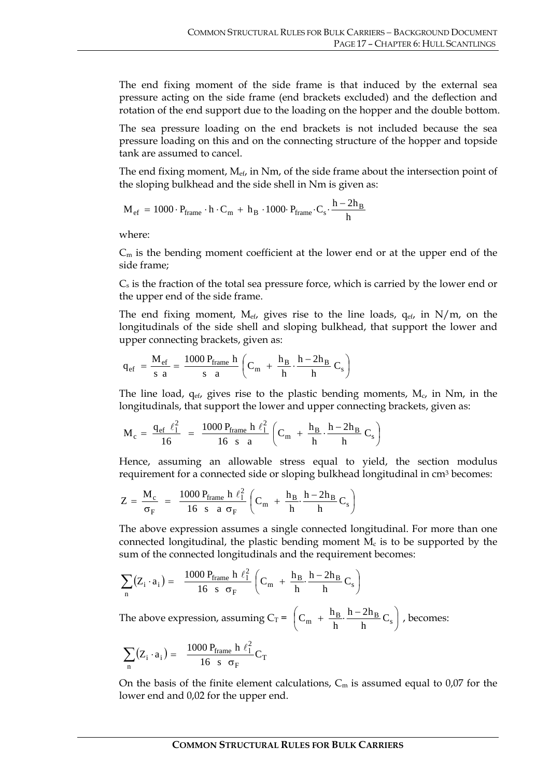The end fixing moment of the side frame is that induced by the external sea pressure acting on the side frame (end brackets excluded) and the deflection and rotation of the end support due to the loading on the hopper and the double bottom.

The sea pressure loading on the end brackets is not included because the sea pressure loading on this and on the connecting structure of the hopper and topside tank are assumed to cancel.

The end fixing moment,  $M_{\text{ef}}$ , in Nm, of the side frame about the intersection point of the sloping bulkhead and the side shell in Nm is given as:

$$
M_{ef}\,=\,1000\cdot P_{frame}\cdot h\cdot C_m\,+\,h_B\,\cdot 1000\cdot P_{frame}\cdot C_s\cdot \frac{h-2h_B}{h}
$$

where:

 $C_m$  is the bending moment coefficient at the lower end or at the upper end of the side frame;

 $C<sub>s</sub>$  is the fraction of the total sea pressure force, which is carried by the lower end or the upper end of the side frame.

The end fixing moment, M<sub>ef</sub>, gives rise to the line loads,  $q_{ef}$ , in N/m, on the longitudinals of the side shell and sloping bulkhead, that support the lower and upper connecting brackets, given as:

$$
q_{ef} \; = \frac{M_{ef}}{s \ a} = \frac{1000 \ P_{frame} \ h}{s \ a} \left( C_m \; + \; \frac{h_B}{h} \cdot \frac{h - 2 h_B}{h} \ C_s \right)
$$

The line load,  $q_{ef}$ , gives rise to the plastic bending moments,  $M_c$ , in Nm, in the longitudinals, that support the lower and upper connecting brackets, given as:

$$
M_c\,=\,\frac{q_{ef}\;\,\ell_1^2}{16}\;\;=\;\;\frac{1000\,P_{frame}\;h\;\,\ell_1^2}{16\ \ s\ \ a}\left(C_m\;+\;\frac{h_B}{h}\cdot\frac{h-2h_B}{h}\;C_s\right)
$$

Hence, assuming an allowable stress equal to yield, the section modulus requirement for a connected side or sloping bulkhead longitudinal in cm<sup>3</sup> becomes:

$$
Z \, = \, \frac{M_c}{\sigma_F} \,\ = \,\ \frac{1000 \, P_{frame} \, \, h \, \, \ell_1^2}{16 \ \ s \ \ a \, \, \sigma_F} \left( C_m \,\ + \, \frac{h_B}{h} \cdot \frac{h - 2 h_B}{h} \, C_s \right)
$$

The above expression assumes a single connected longitudinal. For more than one connected longitudinal, the plastic bending moment  $M_c$  is to be supported by the sum of the connected longitudinals and the requirement becomes:

$$
\sum_n \big(Z_i \cdot a_i\big) = \frac{1000 \; P_{frame} \; h \; \ell_1^2}{16 \;\; s \;\; \sigma_F} \left(C_m \; + \; \frac{h_B}{h} \cdot \frac{h - 2 h_B}{h} \, C_s\right)
$$

The above expression, assuming  $C_T = |C_m + \frac{H_B}{l} \cdot \frac{H - 2H_B}{l} C_s|$ ⎠  $\left(C_m + \frac{h_B}{l} \cdot \frac{h - 2h_B}{l} C_s\right)$  $\left(C_m + \frac{h_B}{h} \cdot \frac{h - 2h_B}{h}C_s\right)$  $h - 2h$ h  $C_m + \frac{h_B}{h} \frac{h - 2h_B}{h} C_s$ , becomes:

$$
\sum_n (Z_i \cdot a_i) = \frac{1000 \, P_{frame} \, h \, \ell_1^2}{16 \, s \, \sigma_F} C_T
$$

On the basis of the finite element calculations,  $C_m$  is assumed equal to 0,07 for the lower end and 0,02 for the upper end.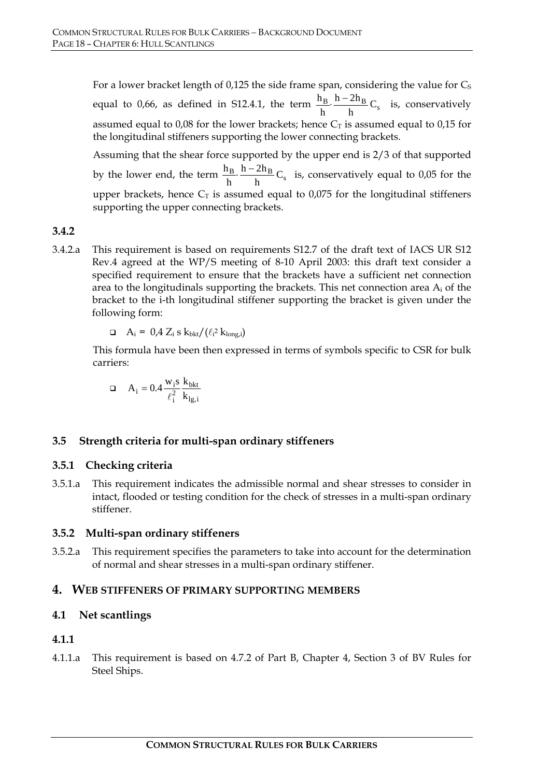For a lower bracket length of 0,125 the side frame span, considering the value for  $C_S$ equal to 0,66, as defined in S12.4.1, the term  $\frac{H_B}{h} \cdot \frac{H - 2H_B}{h}C_s$  $h - 2h$ h  $\frac{h_B}{h}$   $\frac{h - 2h_B}{h}$  C<sub>s</sub> is, conservatively assumed equal to 0,08 for the lower brackets; hence  $C_T$  is assumed equal to 0,15 for the longitudinal stiffeners supporting the lower connecting brackets.

Assuming that the shear force supported by the upper end is 2/3 of that supported by the lower end, the term  $\frac{n_B}{h} \cdot \frac{n - 2n_B}{h}C_s$  $h - 2h$ h  $\frac{h_B}{h}$   $\frac{h-2h_B}{h}$  C<sub>s</sub> is, conservatively equal to 0,05 for the upper brackets, hence  $C_T$  is assumed equal to 0,075 for the longitudinal stiffeners supporting the upper connecting brackets.

#### **3.4.2**

3.4.2.a This requirement is based on requirements S12.7 of the draft text of IACS UR S12 Rev.4 agreed at the WP/S meeting of 8-10 April 2003: this draft text consider a specified requirement to ensure that the brackets have a sufficient net connection area to the longitudinals supporting the brackets. This net connection area  $A_i$  of the bracket to the i-th longitudinal stiffener supporting the bracket is given under the following form:

$$
\Box \quad A_i = \; 0.4 \; Z_i \; s \; k_{bkt}/\left(\ell_i^2 \; k_{long,i}\right)
$$

This formula have been then expressed in terms of symbols specific to CSR for bulk carriers:

$$
\Box\hspace{0.4cm}A_i=0.4\,\frac{w_is}{\ell_i^2}\,\frac{k_{bkt}}{k_{lg,i}}
$$

#### **3.5 Strength criteria for multi-span ordinary stiffeners**

#### **3.5.1 Checking criteria**

3.5.1.a This requirement indicates the admissible normal and shear stresses to consider in intact, flooded or testing condition for the check of stresses in a multi-span ordinary stiffener.

#### **3.5.2 Multi-span ordinary stiffeners**

3.5.2.a This requirement specifies the parameters to take into account for the determination of normal and shear stresses in a multi-span ordinary stiffener.

#### **4. WEB STIFFENERS OF PRIMARY SUPPORTING MEMBERS**

#### **4.1 Net scantlings**

#### **4.1.1**

4.1.1.a This requirement is based on 4.7.2 of Part B, Chapter 4, Section 3 of BV Rules for Steel Ships.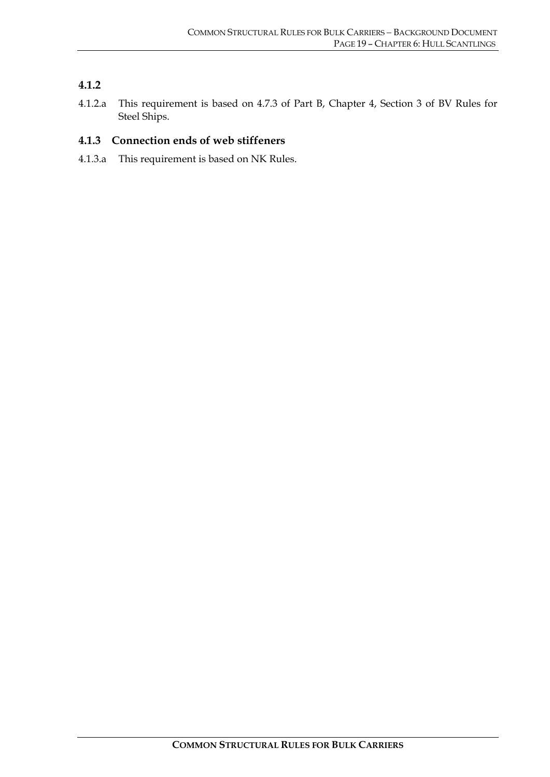#### **4.1.2**

4.1.2.a This requirement is based on 4.7.3 of Part B, Chapter 4, Section 3 of BV Rules for Steel Ships.

#### **4.1.3 Connection ends of web stiffeners**

4.1.3.a This requirement is based on NK Rules.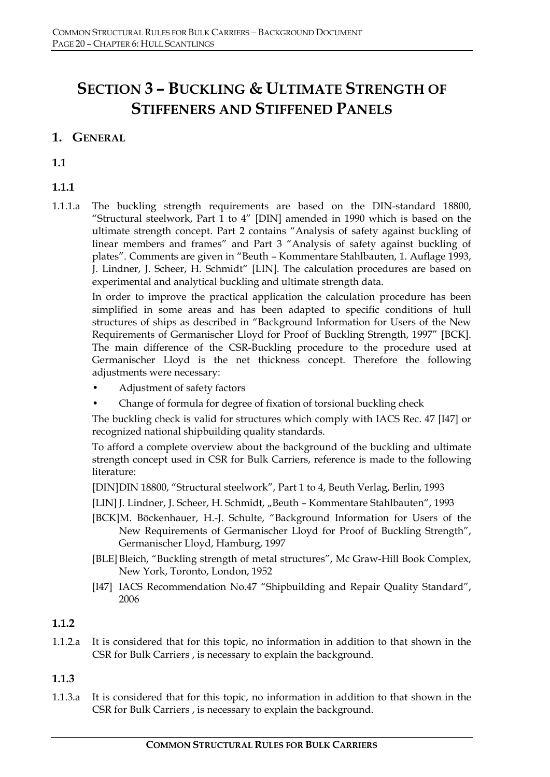# **SECTION 3 – BUCKLING & ULTIMATE STRENGTH OF STIFFENERS AND STIFFENED PANELS**

# **1. GENERAL**

**1.1**

**1.1.1**

1.1.1.a The buckling strength requirements are based on the DIN-standard 18800, "Structural steelwork, Part 1 to 4" [DIN] amended in 1990 which is based on the ultimate strength concept. Part 2 contains "Analysis of safety against buckling of linear members and frames" and Part 3 "Analysis of safety against buckling of plates". Comments are given in "Beuth – Kommentare Stahlbauten, 1. Auflage 1993, J. Lindner, J. Scheer, H. Schmidt" [LIN]. The calculation procedures are based on experimental and analytical buckling and ultimate strength data.

In order to improve the practical application the calculation procedure has been simplified in some areas and has been adapted to specific conditions of hull structures of ships as described in "Background Information for Users of the New Requirements of Germanischer Lloyd for Proof of Buckling Strength, 1997" [BCK]. The main difference of the CSR-Buckling procedure to the procedure used at Germanischer Lloyd is the net thickness concept. Therefore the following adjustments were necessary:

- Adjustment of safety factors
- Change of formula for degree of fixation of torsional buckling check

The buckling check is valid for structures which comply with IACS Rec. 47 [I47] or recognized national shipbuilding quality standards.

To afford a complete overview about the background of the buckling and ultimate strength concept used in CSR for Bulk Carriers, reference is made to the following literature:

[DIN] DIN 18800, "Structural steelwork", Part 1 to 4, Beuth Verlag, Berlin, 1993

[LIN] J. Lindner, J. Scheer, H. Schmidt, "Beuth - Kommentare Stahlbauten", 1993

- [BCK]M. Böckenhauer, H.-J. Schulte, "Background Information for Users of the New Requirements of Germanischer Lloyd for Proof of Buckling Strength", Germanischer Lloyd, Hamburg, 1997
- [BLE] Bleich, "Buckling strength of metal structures", Mc Graw-Hill Book Complex, New York, Toronto, London, 1952
- [I47] IACS Recommendation No.47 "Shipbuilding and Repair Quality Standard", 2006

# **1.1.2**

1.1.2.a It is considered that for this topic, no information in addition to that shown in the CSR for Bulk Carriers , is necessary to explain the background.

#### **1.1.3**

1.1.3.a It is considered that for this topic, no information in addition to that shown in the CSR for Bulk Carriers , is necessary to explain the background.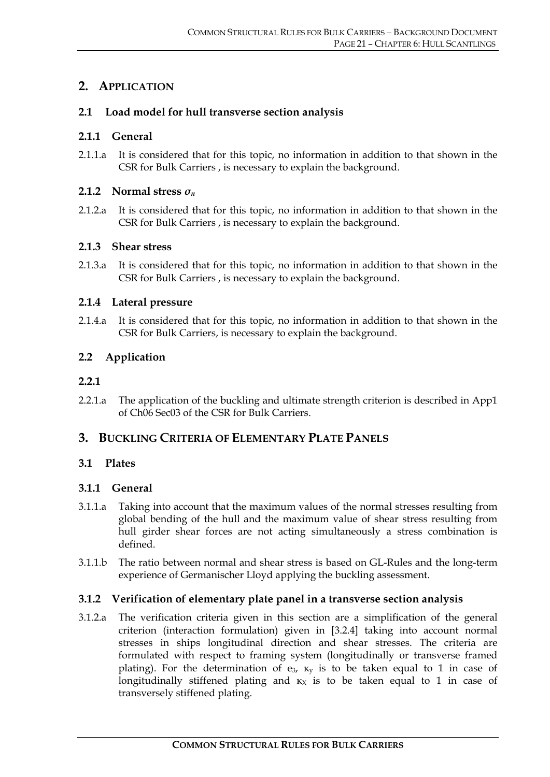# **2. APPLICATION**

#### **2.1 Load model for hull transverse section analysis**

#### **2.1.1 General**

2.1.1.a It is considered that for this topic, no information in addition to that shown in the CSR for Bulk Carriers , is necessary to explain the background.

#### **2.1.2 Normal stress**  $\sigma_n$

2.1.2.a It is considered that for this topic, no information in addition to that shown in the CSR for Bulk Carriers , is necessary to explain the background.

#### **2.1.3 Shear stress**

2.1.3.a It is considered that for this topic, no information in addition to that shown in the CSR for Bulk Carriers , is necessary to explain the background.

#### **2.1.4 Lateral pressure**

2.1.4.a It is considered that for this topic, no information in addition to that shown in the CSR for Bulk Carriers, is necessary to explain the background.

#### **2.2 Application**

#### **2.2.1**

2.2.1.a The application of the buckling and ultimate strength criterion is described in App1 of Ch06 Sec03 of the CSR for Bulk Carriers.

#### **3. BUCKLING CRITERIA OF ELEMENTARY PLATE PANELS**

#### **3.1 Plates**

#### **3.1.1 General**

- 3.1.1.a Taking into account that the maximum values of the normal stresses resulting from global bending of the hull and the maximum value of shear stress resulting from hull girder shear forces are not acting simultaneously a stress combination is defined.
- 3.1.1.b The ratio between normal and shear stress is based on GL-Rules and the long-term experience of Germanischer Lloyd applying the buckling assessment.

#### **3.1.2 Verification of elementary plate panel in a transverse section analysis**

3.1.2.a The verification criteria given in this section are a simplification of the general criterion (interaction formulation) given in [3.2.4] taking into account normal stresses in ships longitudinal direction and shear stresses. The criteria are formulated with respect to framing system (longitudinally or transverse framed plating). For the determination of  $e_3$ ,  $\kappa_y$  is to be taken equal to 1 in case of longitudinally stiffened plating and  $\kappa_X$  is to be taken equal to 1 in case of transversely stiffened plating.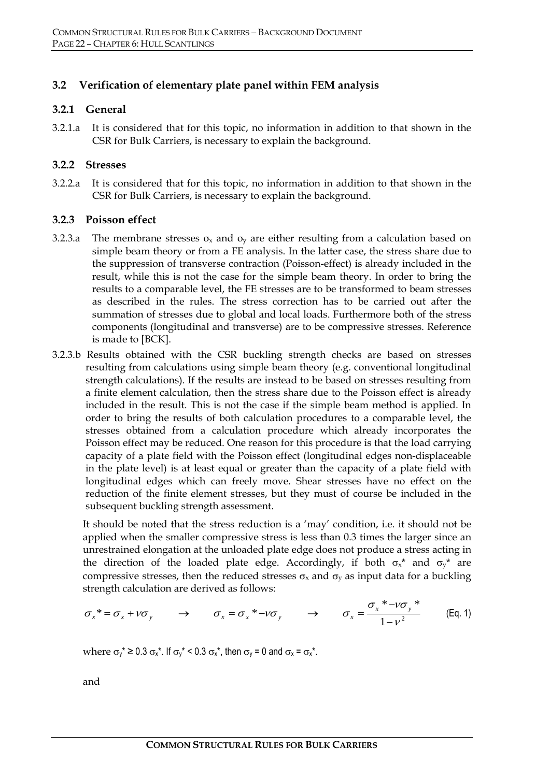#### **3.2 Verification of elementary plate panel within FEM analysis**

#### **3.2.1 General**

3.2.1.a It is considered that for this topic, no information in addition to that shown in the CSR for Bulk Carriers, is necessary to explain the background.

#### **3.2.2 Stresses**

3.2.2.a It is considered that for this topic, no information in addition to that shown in the CSR for Bulk Carriers, is necessary to explain the background.

#### **3.2.3 Poisson effect**

- 3.2.3.a The membrane stresses  $\sigma_x$  and  $\sigma_y$  are either resulting from a calculation based on simple beam theory or from a FE analysis. In the latter case, the stress share due to the suppression of transverse contraction (Poisson-effect) is already included in the result, while this is not the case for the simple beam theory. In order to bring the results to a comparable level, the FE stresses are to be transformed to beam stresses as described in the rules. The stress correction has to be carried out after the summation of stresses due to global and local loads. Furthermore both of the stress components (longitudinal and transverse) are to be compressive stresses. Reference is made to [BCK].
- 3.2.3.b Results obtained with the CSR buckling strength checks are based on stresses resulting from calculations using simple beam theory (e.g. conventional longitudinal strength calculations). If the results are instead to be based on stresses resulting from a finite element calculation, then the stress share due to the Poisson effect is already included in the result. This is not the case if the simple beam method is applied. In order to bring the results of both calculation procedures to a comparable level, the stresses obtained from a calculation procedure which already incorporates the Poisson effect may be reduced. One reason for this procedure is that the load carrying capacity of a plate field with the Poisson effect (longitudinal edges non-displaceable in the plate level) is at least equal or greater than the capacity of a plate field with longitudinal edges which can freely move. Shear stresses have no effect on the reduction of the finite element stresses, but they must of course be included in the subsequent buckling strength assessment.

It should be noted that the stress reduction is a 'may' condition, i.e. it should not be applied when the smaller compressive stress is less than 0.3 times the larger since an unrestrained elongation at the unloaded plate edge does not produce a stress acting in the direction of the loaded plate edge. Accordingly, if both  $\sigma_{x}^{*}$  and  $\sigma_{y}^{*}$  are compressive stresses, then the reduced stresses  $\sigma_x$  and  $\sigma_y$  as input data for a buckling strength calculation are derived as follows:

$$
\sigma_x^* = \sigma_x + \nu \sigma_y \qquad \rightarrow \qquad \sigma_x = \sigma_x^* - \nu \sigma_y \qquad \rightarrow \qquad \sigma_x = \frac{\sigma_x^* - \nu \sigma_y^*}{1 - \nu^2} \qquad \text{(Eq. 1)}
$$

where  $\sigma_v^* \geq 0.3 \sigma_x^*$ . If  $\sigma_v^* \leq 0.3 \sigma_x^*$ , then  $\sigma_v = 0$  and  $\sigma_x = \sigma_x^*$ .

and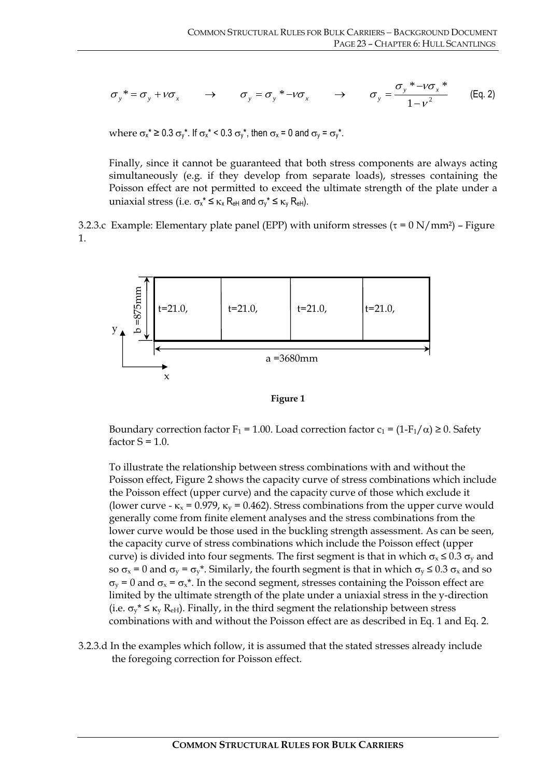$$
\sigma_y^* = \sigma_y + v \sigma_x \qquad \rightarrow \qquad \sigma_y = \sigma_y^* - v \sigma_x \qquad \rightarrow \qquad \sigma_y = \frac{\sigma_y^* - v \sigma_x^*}{1 - v^2} \qquad \text{(Eq. 2)}
$$

where  $\sigma_x^* \ge 0.3 \sigma_y^*$ . If  $\sigma_x^* \le 0.3 \sigma_y^*$ , then  $\sigma_x = 0$  and  $\sigma_y = \sigma_y^*$ .

Finally, since it cannot be guaranteed that both stress components are always acting simultaneously (e.g. if they develop from separate loads), stresses containing the Poisson effect are not permitted to exceed the ultimate strength of the plate under a uniaxial stress (i.e.  $\sigma_{x}^* \leq \kappa_{x} R_{\text{eH}}$  and  $\sigma_{y}^* \leq \kappa_{y} R_{\text{eH}}$ ).

3.2.3.c Example: Elementary plate panel (EPP) with uniform stresses ( $\tau = 0 \text{ N/mm}^2$ ) – Figure 1.



**Figure 1** 

Boundary correction factor  $F_1 = 1.00$ . Load correction factor  $c_1 = (1 - F_1/\alpha) \ge 0$ . Safety factor  $S = 1.0$ .

To illustrate the relationship between stress combinations with and without the Poisson effect, Figure 2 shows the capacity curve of stress combinations which include the Poisson effect (upper curve) and the capacity curve of those which exclude it (lower curve -  $\kappa_x$  = 0.979,  $\kappa_y$  = 0.462). Stress combinations from the upper curve would generally come from finite element analyses and the stress combinations from the lower curve would be those used in the buckling strength assessment. As can be seen, the capacity curve of stress combinations which include the Poisson effect (upper curve) is divided into four segments. The first segment is that in which  $\sigma_x \leq 0.3 \sigma_y$  and so  $\sigma_x = 0$  and  $\sigma_y = \sigma_y^*$ . Similarly, the fourth segment is that in which  $\sigma_y \leq 0.3 \sigma_x$  and so  $\sigma_v$  = 0 and  $\sigma_x$  =  $\sigma_x$ <sup>\*</sup>. In the second segment, stresses containing the Poisson effect are limited by the ultimate strength of the plate under a uniaxial stress in the y-direction (i.e.  $\sigma_v^* \leq \kappa_v$  R<sub>eH</sub>). Finally, in the third segment the relationship between stress combinations with and without the Poisson effect are as described in Eq. 1 and Eq. 2.

3.2.3.d In the examples which follow, it is assumed that the stated stresses already include the foregoing correction for Poisson effect.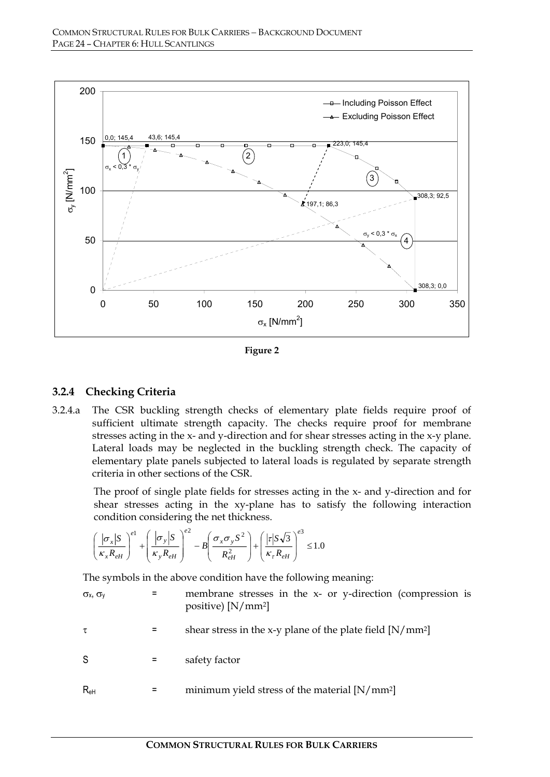

**Figure 2** 

#### **3.2.4 Checking Criteria**

3.2.4.a The CSR buckling strength checks of elementary plate fields require proof of sufficient ultimate strength capacity. The checks require proof for membrane stresses acting in the x- and y-direction and for shear stresses acting in the x-y plane. Lateral loads may be neglected in the buckling strength check. The capacity of elementary plate panels subjected to lateral loads is regulated by separate strength criteria in other sections of the CSR.

The proof of single plate fields for stresses acting in the x- and y-direction and for shear stresses acting in the xy-plane has to satisfy the following interaction condition considering the net thickness.

$$
\left(\frac{|\sigma_x|S}{\kappa_x R_{eH}}\right)^{e1} + \left(\frac{|\sigma_y|S}{\kappa_y R_{eH}}\right)^{e2} - B\left(\frac{\sigma_x \sigma_y S^2}{R_{eH}^2}\right) + \left(\frac{|\tau|S\sqrt{3}}{\kappa_\tau R_{eH}}\right)^{e3} \le 1.0
$$

The symbols in the above condition have the following meaning:

 $\sigma_x$ ,  $\sigma_y$  = membrane stresses in the x- or y-direction (compression is positive) [N/mm2]  $\tau$  = shear stress in the x-y plane of the plate field [N/mm<sup>2</sup>] S = safety factor  $R_{\text{eH}}$  = minimum yield stress of the material  $[N/mm^2]$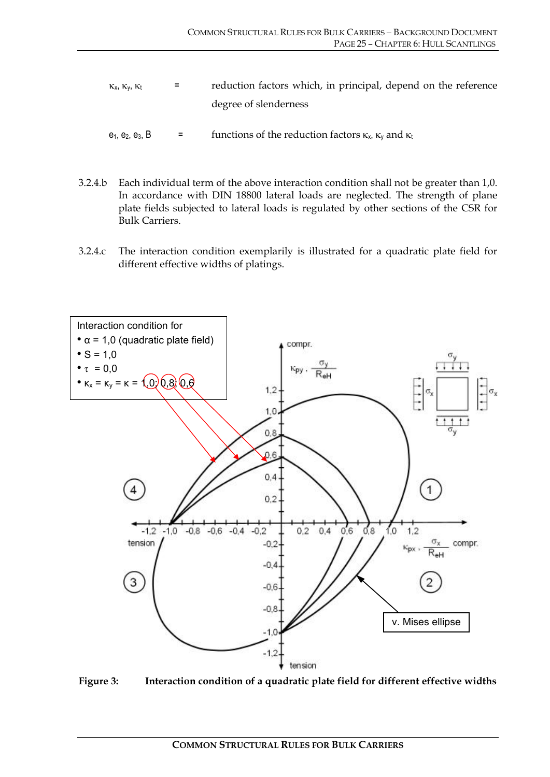- $\kappa_x$ ,  $\kappa_y$ ,  $\kappa_t$  = reduction factors which, in principal, depend on the reference degree of slenderness
- $e_1, e_2, e_3, B$  = functions of the reduction factors  $\kappa_x$ ,  $\kappa_y$  and  $\kappa_t$
- 3.2.4.b Each individual term of the above interaction condition shall not be greater than 1,0. In accordance with DIN 18800 lateral loads are neglected. The strength of plane plate fields subjected to lateral loads is regulated by other sections of the CSR for Bulk Carriers.
- 3.2.4.c The interaction condition exemplarily is illustrated for a quadratic plate field for different effective widths of platings.



**Figure 3: Interaction condition of a quadratic plate field for different effective widths**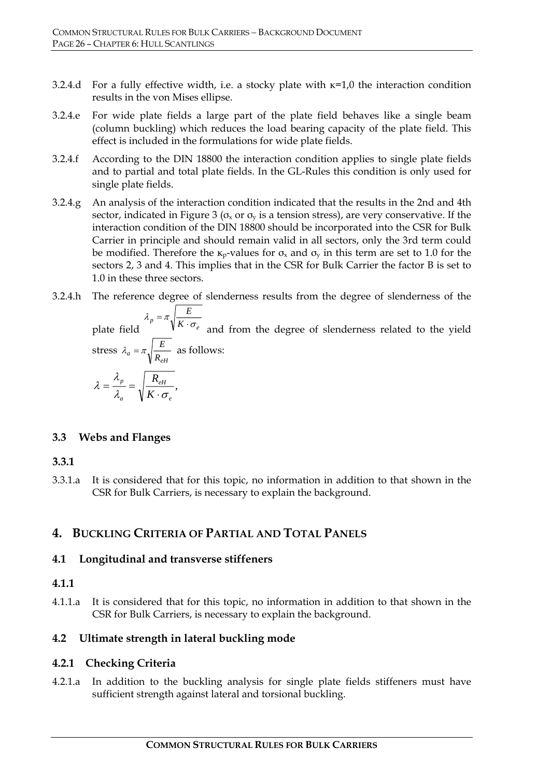- 3.2.4.d For a fully effective width, i.e. a stocky plate with κ=1,0 the interaction condition results in the von Mises ellipse.
- 3.2.4.e For wide plate fields a large part of the plate field behaves like a single beam (column buckling) which reduces the load bearing capacity of the plate field. This effect is included in the formulations for wide plate fields.
- 3.2.4.f According to the DIN 18800 the interaction condition applies to single plate fields and to partial and total plate fields. In the GL-Rules this condition is only used for single plate fields.
- 3.2.4.g An analysis of the interaction condition indicated that the results in the 2nd and 4th sector, indicated in Figure 3 ( $\sigma_x$  or  $\sigma_y$  is a tension stress), are very conservative. If the interaction condition of the DIN 18800 should be incorporated into the CSR for Bulk Carrier in principle and should remain valid in all sectors, only the 3rd term could be modified. Therefore the  $\kappa_{p}$ -values for  $\sigma_{x}$  and  $\sigma_{y}$  in this term are set to 1.0 for the sectors 2, 3 and 4. This implies that in the CSR for Bulk Carrier the factor B is set to 1.0 in these three sectors.
- 3.2.4.h The reference degree of slenderness results from the degree of slenderness of the

 $\lambda_p = \lambda \sqrt{K \cdot \sigma_e}$ *E*  $\lambda_p = \pi \sqrt{\frac{E}{K \cdot \sigma_e}}$  and from the degree of slenderness related to the yield stress  $\lambda_a = \pi \sqrt{\frac{E}{R_{eH}}}$  as follows: , *eH p K R*  $\lambda$   $\forall K \cdot \sigma$ λ  $\lambda = \frac{R_p}{\lambda_a} = \sqrt{\frac{R_a}{K}}$ 

#### **3.3 Webs and Flanges**

*a*

#### **3.3.1**

3.3.1.a It is considered that for this topic, no information in addition to that shown in the CSR for Bulk Carriers, is necessary to explain the background.

# **4. BUCKLING CRITERIA OF PARTIAL AND TOTAL PANELS**

#### **4.1 Longitudinal and transverse stiffeners**

*e*

#### **4.1.1**

4.1.1.a It is considered that for this topic, no information in addition to that shown in the CSR for Bulk Carriers, is necessary to explain the background.

#### **4.2 Ultimate strength in lateral buckling mode**

#### **4.2.1 Checking Criteria**

4.2.1.a In addition to the buckling analysis for single plate fields stiffeners must have sufficient strength against lateral and torsional buckling.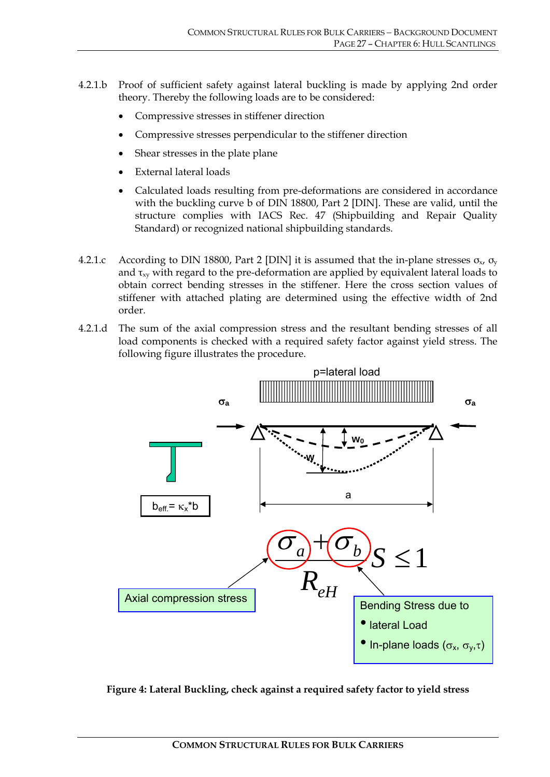- 4.2.1.b Proof of sufficient safety against lateral buckling is made by applying 2nd order theory. Thereby the following loads are to be considered:
	- Compressive stresses in stiffener direction
	- Compressive stresses perpendicular to the stiffener direction
	- Shear stresses in the plate plane
	- External lateral loads
	- Calculated loads resulting from pre-deformations are considered in accordance with the buckling curve b of DIN 18800, Part 2 [DIN]. These are valid, until the structure complies with IACS Rec. 47 (Shipbuilding and Repair Quality Standard) or recognized national shipbuilding standards.
- 4.2.1.c According to DIN 18800, Part 2 [DIN] it is assumed that the in-plane stresses  $\sigma_{x}$ ,  $\sigma_{y}$ and  $\tau_{xy}$  with regard to the pre-deformation are applied by equivalent lateral loads to obtain correct bending stresses in the stiffener. Here the cross section values of stiffener with attached plating are determined using the effective width of 2nd order.
- 4.2.1.d The sum of the axial compression stress and the resultant bending stresses of all load components is checked with a required safety factor against yield stress. The following figure illustrates the procedure.



**Figure 4: Lateral Buckling, check against a required safety factor to yield stress**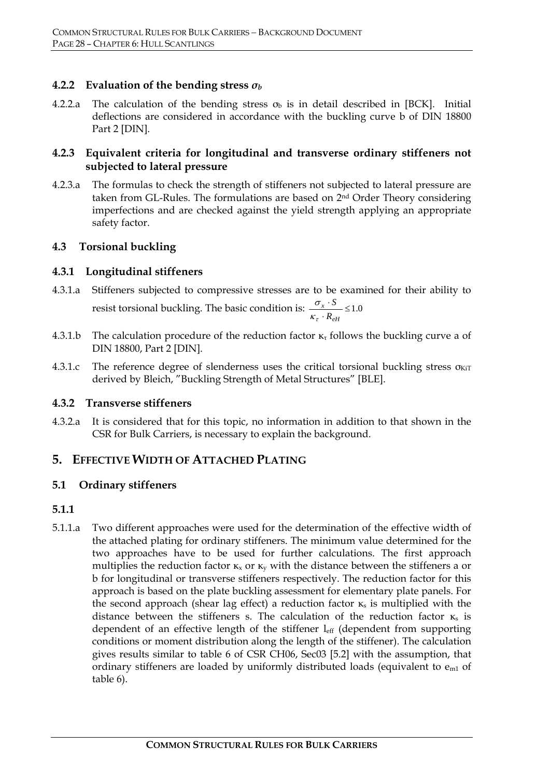#### **4.2.2 Evaluation of the bending stress** *σ<sup>b</sup>*

4.2.2.a The calculation of the bending stress  $\sigma_b$  is in detail described in [BCK]. Initial deflections are considered in accordance with the buckling curve b of DIN 18800 Part 2 [DIN].

#### **4.2.3 Equivalent criteria for longitudinal and transverse ordinary stiffeners not subjected to lateral pressure**

4.2.3.a The formulas to check the strength of stiffeners not subjected to lateral pressure are taken from GL-Rules. The formulations are based on 2nd Order Theory considering imperfections and are checked against the yield strength applying an appropriate safety factor.

#### **4.3 Torsional buckling**

#### **4.3.1 Longitudinal stiffeners**

- 4.3.1.a Stiffeners subjected to compressive stresses are to be examined for their ability to resist torsional buckling. The basic condition is:  $\frac{\sigma_x \cdot S}{\kappa_{\tau} \cdot R_{\rho H}} \le 1.0$ *eH x R S*  $\kappa_{\tau}$ σ
- 4.3.1.b The calculation procedure of the reduction factor  $\kappa_{\tau}$  follows the buckling curve a of DIN 18800, Part 2 [DIN].
- 4.3.1.c The reference degree of slenderness uses the critical torsional buckling stress  $\sigma_{\text{KiT}}$ derived by Bleich, "Buckling Strength of Metal Structures" [BLE].

#### **4.3.2 Transverse stiffeners**

4.3.2.a It is considered that for this topic, no information in addition to that shown in the CSR for Bulk Carriers, is necessary to explain the background.

# **5. EFFECTIVE WIDTH OF ATTACHED PLATING**

#### **5.1 Ordinary stiffeners**

#### **5.1.1**

5.1.1.a Two different approaches were used for the determination of the effective width of the attached plating for ordinary stiffeners. The minimum value determined for the two approaches have to be used for further calculations. The first approach multiplies the reduction factor  $\kappa_x$  or  $\kappa_y$  with the distance between the stiffeners a or b for longitudinal or transverse stiffeners respectively. The reduction factor for this approach is based on the plate buckling assessment for elementary plate panels. For the second approach (shear lag effect) a reduction factor  $\kappa_s$  is multiplied with the distance between the stiffeners s. The calculation of the reduction factor  $\kappa_s$  is dependent of an effective length of the stiffener leff (dependent from supporting conditions or moment distribution along the length of the stiffener). The calculation gives results similar to table 6 of CSR CH06, Sec03 [5.2] with the assumption, that ordinary stiffeners are loaded by uniformly distributed loads (equivalent to  $e_{m1}$  of table 6).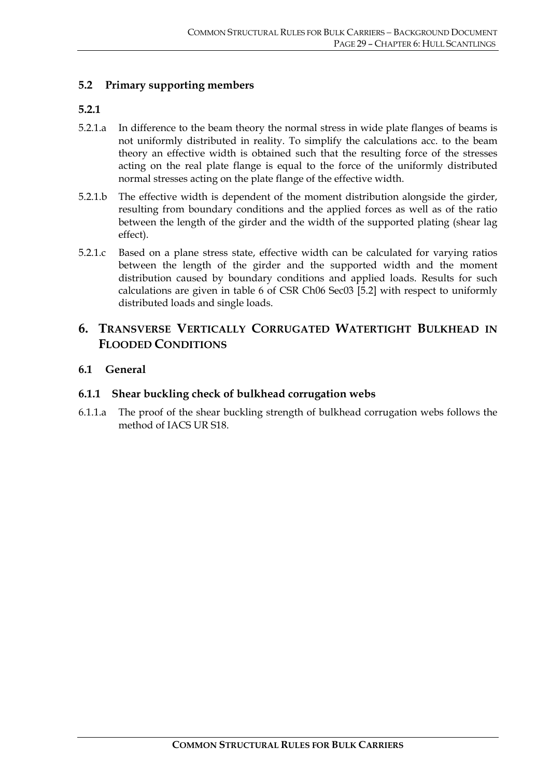#### **5.2 Primary supporting members**

#### **5.2.1**

- 5.2.1.a In difference to the beam theory the normal stress in wide plate flanges of beams is not uniformly distributed in reality. To simplify the calculations acc. to the beam theory an effective width is obtained such that the resulting force of the stresses acting on the real plate flange is equal to the force of the uniformly distributed normal stresses acting on the plate flange of the effective width.
- 5.2.1.b The effective width is dependent of the moment distribution alongside the girder, resulting from boundary conditions and the applied forces as well as of the ratio between the length of the girder and the width of the supported plating (shear lag effect).
- 5.2.1.c Based on a plane stress state, effective width can be calculated for varying ratios between the length of the girder and the supported width and the moment distribution caused by boundary conditions and applied loads. Results for such calculations are given in table 6 of CSR Ch06 Sec03 [5.2] with respect to uniformly distributed loads and single loads.

### **6. TRANSVERSE VERTICALLY CORRUGATED WATERTIGHT BULKHEAD IN FLOODED CONDITIONS**

**6.1 General** 

#### **6.1.1 Shear buckling check of bulkhead corrugation webs**

6.1.1.a The proof of the shear buckling strength of bulkhead corrugation webs follows the method of IACS UR S18.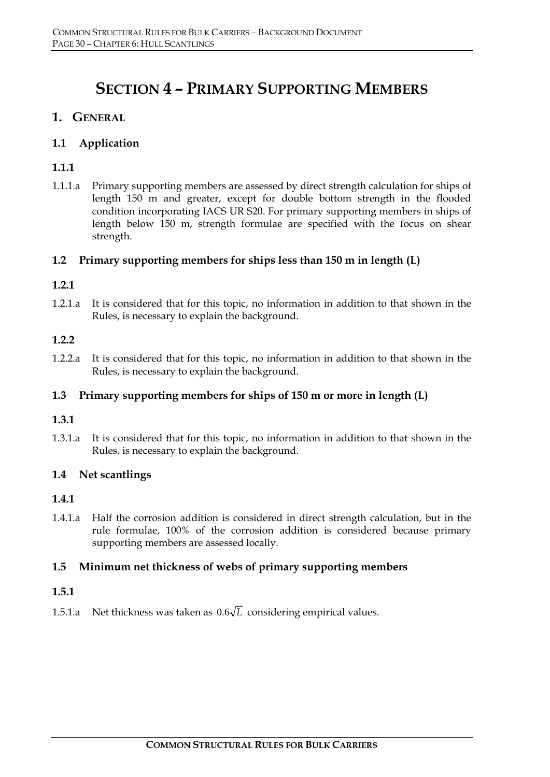# **SECTION 4 – PRIMARY SUPPORTING MEMBERS**

# **1. GENERAL**

### **1.1 Application**

# **1.1.1**

1.1.1.a Primary supporting members are assessed by direct strength calculation for ships of length 150 m and greater, except for double bottom strength in the flooded condition incorporating IACS UR S20. For primary supporting members in ships of length below 150 m, strength formulae are specified with the focus on shear strength.

#### **1.2 Primary supporting members for ships less than 150 m in length (L)**

#### **1.2.1**

1.2.1.a It is considered that for this topic, no information in addition to that shown in the Rules, is necessary to explain the background.

#### **1.2.2**

1.2.2.a It is considered that for this topic, no information in addition to that shown in the Rules, is necessary to explain the background.

#### **1.3 Primary supporting members for ships of 150 m or more in length (L)**

#### **1.3.1**

1.3.1.a It is considered that for this topic, no information in addition to that shown in the Rules, is necessary to explain the background.

#### **1.4 Net scantlings**

#### **1.4.1**

1.4.1.a Half the corrosion addition is considered in direct strength calculation, but in the rule formulae, 100% of the corrosion addition is considered because primary supporting members are assessed locally.

#### **1.5 Minimum net thickness of webs of primary supporting members**

#### **1.5.1**

1.5.1.a Net thickness was taken as  $0.6\sqrt{L}$  considering empirical values.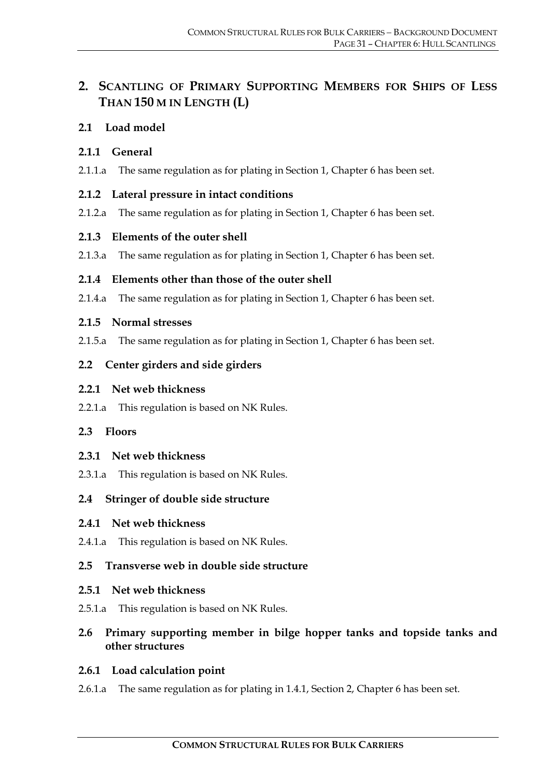# **2. SCANTLING OF PRIMARY SUPPORTING MEMBERS FOR SHIPS OF LESS THAN 150 M IN LENGTH (L)**

#### **2.1 Load model**

#### **2.1.1 General**

2.1.1.a The same regulation as for plating in Section 1, Chapter 6 has been set.

# **2.1.2 Lateral pressure in intact conditions**

2.1.2.a The same regulation as for plating in Section 1, Chapter 6 has been set.

# **2.1.3 Elements of the outer shell**

2.1.3.a The same regulation as for plating in Section 1, Chapter 6 has been set.

# **2.1.4 Elements other than those of the outer shell**

2.1.4.a The same regulation as for plating in Section 1, Chapter 6 has been set.

#### **2.1.5 Normal stresses**

2.1.5.a The same regulation as for plating in Section 1, Chapter 6 has been set.

# **2.2 Center girders and side girders**

#### **2.2.1 Net web thickness**

2.2.1.a This regulation is based on NK Rules.

#### **2.3 Floors**

#### **2.3.1 Net web thickness**

2.3.1.a This regulation is based on NK Rules.

# **2.4 Stringer of double side structure**

#### **2.4.1 Net web thickness**

2.4.1.a This regulation is based on NK Rules.

# **2.5 Transverse web in double side structure**

#### **2.5.1 Net web thickness**

2.5.1.a This regulation is based on NK Rules.

# **2.6 Primary supporting member in bilge hopper tanks and topside tanks and other structures**

# **2.6.1 Load calculation point**

2.6.1.a The same regulation as for plating in 1.4.1, Section 2, Chapter 6 has been set.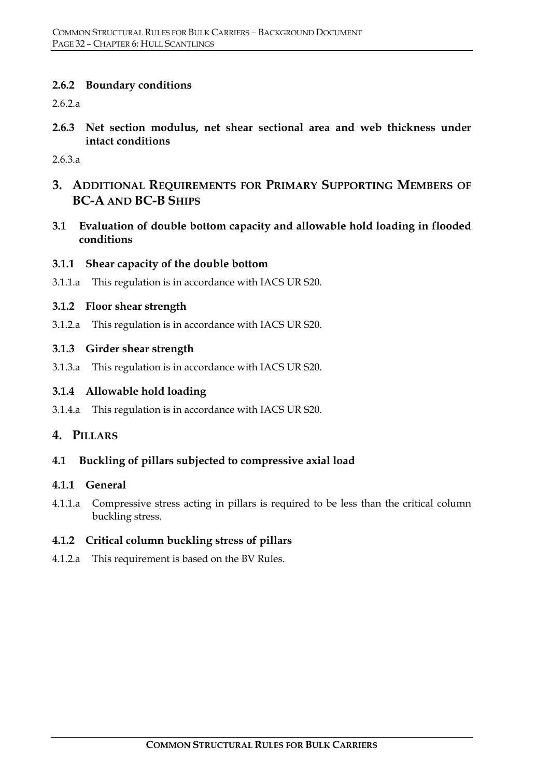#### **2.6.2 Boundary conditions**

2.6.2.a

**2.6.3 Net section modulus, net shear sectional area and web thickness under intact conditions** 

2.6.3.a

- **3. ADDITIONAL REQUIREMENTS FOR PRIMARY SUPPORTING MEMBERS OF BC-A AND BC-B SHIPS**
- **3.1 Evaluation of double bottom capacity and allowable hold loading in flooded conditions**

#### **3.1.1 Shear capacity of the double bottom**

3.1.1.a This regulation is in accordance with IACS UR S20.

#### **3.1.2 Floor shear strength**

3.1.2.a This regulation is in accordance with IACS UR S20.

#### **3.1.3 Girder shear strength**

3.1.3.a This regulation is in accordance with IACS UR S20.

#### **3.1.4 Allowable hold loading**

3.1.4.a This regulation is in accordance with IACS UR S20.

#### **4. PILLARS**

#### **4.1 Buckling of pillars subjected to compressive axial load**

#### **4.1.1 General**

4.1.1.a Compressive stress acting in pillars is required to be less than the critical column buckling stress.

#### **4.1.2 Critical column buckling stress of pillars**

4.1.2.a This requirement is based on the BV Rules.